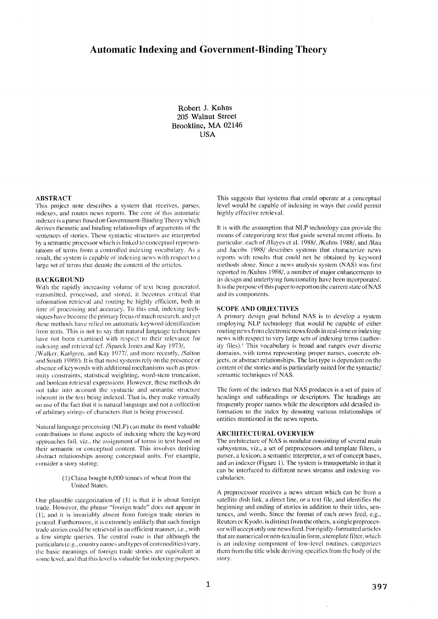# **Automatic Indexing and Government-Binding Theory**

**Robert J. Kuhns 205 Walnut Street Brookline, MA 02146 USA** 

## **ABSTRACT**

This project note describes a systern that receives, parses, indexes, and routes news reports. The core of this automatic indexer is a parser based on Govermnent-Binding Theory which derives thematic and binding relationships of arguments of the sentences of slories. These syntactic structures are interpreted by a semantic processor which is linked to conceptual representations of terms from a controlled indexing vocabulary. As a result, the system is capable of indexing news with respect to a large set of terms that denote the content of the articles.

#### **BACKGROUND**

With the rapidly increasing volume of text being generated. transmitted, processed, and stored, it becomes critical that informalion retrieval and routing be highly efficient, both in time of processing and accuracy. To this end, indexing techniques have become the primary focus of much research, and yet these methods have relied on automatic keyword identification from texts. This is not to say that natural language techniques have not been examined with respect to their relevance for indexing and retrieval (cf./Sparck Jones and Kay 1973/,

/Walker, Karlgren, and Kay 1977/, and more recently,/Sahon mid Smith 1989/). It is that most systems rely on the presence or absence of keywords with additional mechanisms such as proximity constraints, statistical weighting, word-stem truncation, and boolean relrieval expressions. However, these methods do ~ot take into account the syntactic and semantic structure inherent in the text being indexed. That is, they make virtually no use of the fact that it is natural language and not a collection of arbitrary strings of characters that is being processed.

Natural language processing (NLP) can make its most valuable contributions to those aspects of indexing where the keyword approaches fail, viz., the assignment of terms to text based on their semantic or conceptual content. This involves deriving abstract relationships among conceptual units. For example, consider a story stating:

## $(1)$  China bought 6,000 tonnes of wheat from the United States.

One plausible categorization of  $(1)$  is that it is about foreign trade. However, the phrase "foreign trade" does not appear in  $(1)$ , and it is invariably absent from foreign trade stories in general. Furthermore, it is extremely unlikely that such foreign trade stories could be retrieved in an efficient manner, i.e., with a tew simple queries. The central issue is that although the particulars (e.g., country names and types of commodities) vary, the basic meanings of foreign trade stories are equivalent at some level, and that this level is wduable for indexing purposes.

This suggests that systems that could operate at a conceptual level would be capable of indexing in ways that could permit highly effective retrieval.

It is with the assumption that NLP technology can provide the means of categorizing text that guide several recent efforts. In particular, each of /Hayes et al. 1988/, /Kuhns 1988/, and /Rau and Jacobs 1988/ describes systems that characterize news reports with results that could not be obtained by keyword methods alone. Since a news analysis system (NAS) was first reported in/Kuhns 1988/, a number of major enhancements to its design and underlying functionality have been incorporated. It is the purpose of this paper to report on tbe current state of NAS and its components.

#### SCOPE AND OB,IECTIVES

A primary design goal behind NAS is to develop a system employing NLP technology that would be capable of either routing news from electronic news feeds in real-time or indexing news with respect to very large sets of indexing terms (authority files).<sup>1</sup> This vocabulary is broad and ranges over diverse domains, with lerms representing proper names, concrete objects, or abslract relationships. The last type is dependent on the content of the stories and is particularly suited for the syntactic/ semantic techniques of NAS.

The form of the indexes that NAS produces is a set of pairs of headings and subheadings or descriptors. The headings are frequently proper names while the descriptors add detailed information to the index by denoting various relationships of entities mentioned in the news reports.

#### **ARCHITECTURAL OVERVIEW**

The architecture of NAS is modular consisting of several main subsystems, viz., a set of preprocessors and template filters, a parser, a lexicon, a semantic interpreter, a set of concept bases, and an indexer (Figure 1). The system is transportable in that it can be interfaced to different news streams and indexing vocabularies.

A preprocessor receives a news stream which can be from a satellite dish link, a direct line, or a text file, and identifies the beginning and ending of stories in addition to their titles, sentences, and words. Since the format of each news feed, e.g., Reuters or Kyodo, is distinct from the others, a single preprocessor will accept only one news feed. For rigidly-formatted articles that are numerical or non-textual in form, a template filter, which is an indexing component of low-level routines, categorizes them from the title while deriving specifics from the body of the story.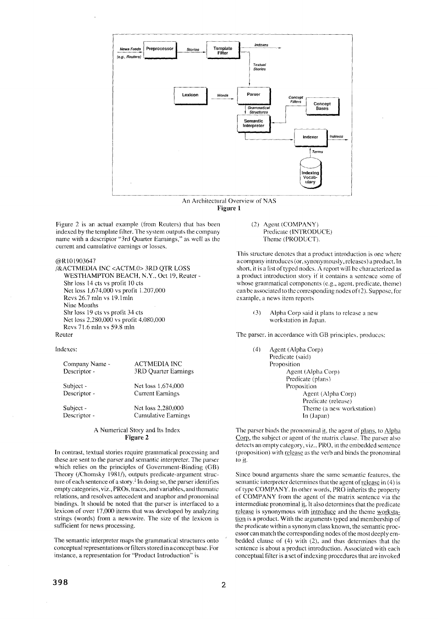

An Architectural Overview of NAS **Figure 1** 

Figure 2 is an actual example (from Reuters) that has been indexed by the ternplate filter. The system outputs the company name with a descriptor "3rd Quarter Earnings," as well as the current and cumulative earnings or losses.

@R101903647

/&ACTMEDIA INC <ACTM.0> 3RD QTR LOSS WESTHAMPTON BEACH, N.Y., Oct 19, Reuter - Shr loss 14 cts vs profit 10 cts Net loss 1,674,000 vs profit 1.207,000 Revs 26.7 mln vs 19.1mln Nine Months Shr loss 19 cts vs profit 34 cts Net loss 2,280,000 vs profit 4,080,000 Revs 71.6 mln vs 59.8 rain Reuter

indexes:

| Company Name - | <b>ACTMEDIA INC</b>     |
|----------------|-------------------------|
| Descriptor -   | 3RD Quarter Earnings    |
| Subject -      | Net loss 1,674,000      |
| Descriptor -   | <b>Current Earnings</b> |
| Subject -      | Net loss 2,280,000      |
| Descriptor -   | Cumulative Earnings     |

#### A Numerical Story and Its Index **Figure 2**

In contrast, textual stories require grammatical processing and these are sent to the parser and semantic interpreter. The parser which relies on the principles of Government-Binding (GB) Theory (/Chomsky 1981/), outputs predicate-argument structure of each sentence of a story.<sup>2</sup> In doing so, the parser identifies empty categories, viz., PROs, traces, and variables, and thematic relations, and resolves antecedent and anaphor and pronominal bindings. It should be noted that the parser is interfaced to a lexicon of over 17,000 items that was developed by analyzing strings (words) from a newswire. The size of the lexicon is sufficient for news processing.

The semantic interpreter maps the grammatical structures onto conceptual representations or filters stored in a concept base. For instance, a representation for "Product Introduction" is

(2) Agent (COMPANY) Predicate (INTRODUCE) Theme (PRODUCT).

This structure denotes that a product introduction is one where a company introduces (or, synonymously, releases) a product. In short, it is a list of typed nodes. A report will be characterized as a product introduction story if it contains a sentence some of whose grammatical components (e.g., agent, predicate, theme) can be associated to the corresponding nodes of  $(2)$ . Suppose, for example, a news item reports

**{3)** Alpha Corp said it plans to release a new workstation in Japan.

The parser, in accordance with GB principles, produces:

| (4) | Agent (Alpha Corp)        |
|-----|---------------------------|
|     | Predicate (said)          |
|     | Proposition               |
|     | Agent (Alpha Corp)        |
|     | Predicate (plans)         |
|     | Proposition               |
|     | Agent (Alpha Corp)        |
|     | Predicate (release)       |
|     | Theme (a new workstation) |
|     | In (Japan)                |
|     |                           |

The parser binds the pronominal it, the agent of plans, to Alpha Corp, the subject or agent of the matrix clause. The parser also detects an empty category, viz., PRO, in the embedded sentence (proposition) with release as the verb and binds the pronominal to it.

Since bound arguments share the same semantic features, the semantic interpreter determines that the agent of <u>release</u> in (4) is of type COMPANY. In other words, PRO inherits the property of COMPANY from the agent of the matrix sentence via the intermediate pronominal it. It also determines that the predicate release is synonymous with introduce and the theme workstation is a product. With the arguments typed and membership of the predicate within a synonym class known, the semantic processor can match the corresponding nodes of the most deeply embedded clause of (4) with (2), and thus determines that the sentence is about a product introduction. Associated with each conceptual filter is a set of indexing procedures that are invoked